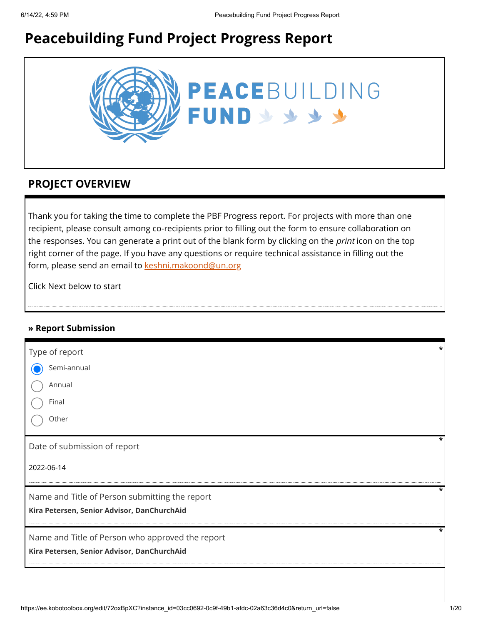# **Peacebuilding Fund Project Progress Report**



### **PROJECT OVERVIEW**

Thank you for taking the time to complete the PBF Progress report. For projects with more than one recipient, please consult among co-recipients prior to filling out the form to ensure collaboration on the responses. You can generate a print out of the blank form by clicking on the *print* icon on the top right corner of the page. If you have any questions or require technical assistance in filling out the form, please send an email to [keshni.makoond@un.org](https://ee.kobotoolbox.org/edit/keshni.makoond@un.org)

Click Next below to start

#### **» Report Submission**

| Type of report                                   |   |
|--------------------------------------------------|---|
| Semi-annual                                      |   |
| Annual                                           |   |
| Final                                            |   |
| Other                                            |   |
| Date of submission of report                     |   |
| 2022-06-14                                       |   |
| Name and Title of Person submitting the report   | * |
| Kira Petersen, Senior Advisor, DanChurchAid      |   |
| Name and Title of Person who approved the report |   |
| Kira Petersen, Senior Advisor, DanChurchAid      |   |
|                                                  |   |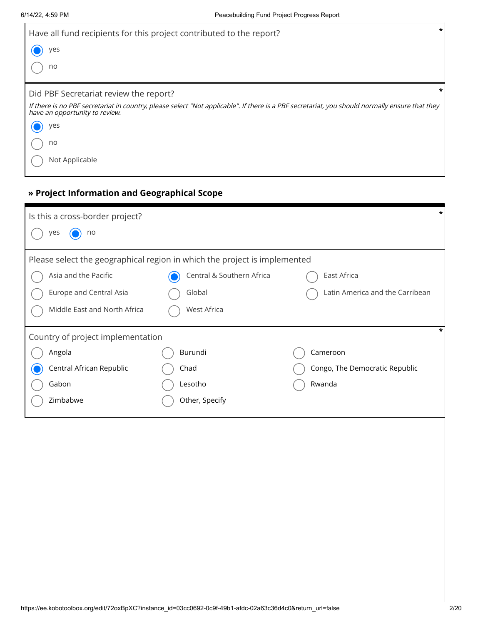| Have all fund recipients for this project contributed to the report?                                                                                                             | $\star$ |
|----------------------------------------------------------------------------------------------------------------------------------------------------------------------------------|---------|
| yes                                                                                                                                                                              |         |
| no                                                                                                                                                                               |         |
| Did PBF Secretariat review the report?                                                                                                                                           |         |
| If there is no PBF secretariat in country, please select "Not applicable". If there is a PBF secretariat, you should normally ensure that they<br>have an opportunity to review. |         |
| yes                                                                                                                                                                              |         |
| no                                                                                                                                                                               |         |
| Not Applicable                                                                                                                                                                   |         |

### **» Project Information and Geographical Scope**

| Is this a cross-border project?                                           |                           |                                 |  |  |  |
|---------------------------------------------------------------------------|---------------------------|---------------------------------|--|--|--|
| yes<br>no                                                                 |                           |                                 |  |  |  |
| Please select the geographical region in which the project is implemented |                           |                                 |  |  |  |
| Asia and the Pacific                                                      | Central & Southern Africa | East Africa                     |  |  |  |
| Europe and Central Asia                                                   | Global                    | Latin America and the Carribean |  |  |  |
| Middle East and North Africa                                              | <b>West Africa</b>        |                                 |  |  |  |
| Country of project implementation                                         |                           |                                 |  |  |  |
| Angola                                                                    | Burundi                   | Cameroon                        |  |  |  |
| Central African Republic                                                  | Chad                      | Congo, The Democratic Republic  |  |  |  |
| Gabon                                                                     | Lesotho                   | Rwanda                          |  |  |  |
| Zimbabwe                                                                  | Other, Specify            |                                 |  |  |  |
|                                                                           |                           |                                 |  |  |  |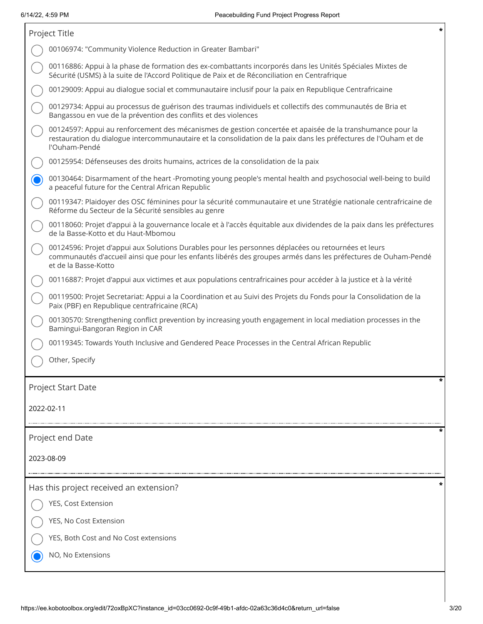| *<br>Project Title                                                                                                                                                                                                                             |   |  |  |
|------------------------------------------------------------------------------------------------------------------------------------------------------------------------------------------------------------------------------------------------|---|--|--|
| 00106974: "Community Violence Reduction in Greater Bambari"                                                                                                                                                                                    |   |  |  |
| 00116886: Appui à la phase de formation des ex-combattants incorporés dans les Unités Spéciales Mixtes de<br>Sécurité (USMS) à la suite de l'Accord Politique de Paix et de Réconciliation en Centrafrique                                     |   |  |  |
| 00129009: Appui au dialogue social et communautaire inclusif pour la paix en Republique Centrafricaine                                                                                                                                         |   |  |  |
| 00129734: Appui au processus de guérison des traumas individuels et collectifs des communautés de Bria et<br>Bangassou en vue de la prévention des conflits et des violences                                                                   |   |  |  |
| 00124597: Appui au renforcement des mécanismes de gestion concertée et apaisée de la transhumance pour la<br>restauration du dialogue intercommunautaire et la consolidation de la paix dans les préfectures de l'Ouham et de<br>l'Ouham-Pendé |   |  |  |
| 00125954: Défenseuses des droits humains, actrices de la consolidation de la paix                                                                                                                                                              |   |  |  |
| 00130464: Disarmament of the heart -Promoting young people's mental health and psychosocial well-being to build<br>a peaceful future for the Central African Republic                                                                          |   |  |  |
| 00119347: Plaidoyer des OSC féminines pour la sécurité communautaire et une Stratégie nationale centrafricaine de<br>Réforme du Secteur de la Sécurité sensibles au genre                                                                      |   |  |  |
| 00118060: Projet d'appui à la gouvernance locale et à l'accès équitable aux dividendes de la paix dans les préfectures<br>de la Basse-Kotto et du Haut-Mbomou                                                                                  |   |  |  |
| 00124596: Projet d'appui aux Solutions Durables pour les personnes déplacées ou retournées et leurs<br>communautés d'accueil ainsi que pour les enfants libérés des groupes armés dans les préfectures de Ouham-Pendé<br>et de la Basse-Kotto  |   |  |  |
| 00116887: Projet d'appui aux victimes et aux populations centrafricaines pour accéder à la justice et à la vérité                                                                                                                              |   |  |  |
| 00119500: Projet Secretariat: Appui a la Coordination et au Suivi des Projets du Fonds pour la Consolidation de la<br>Paix (PBF) en Republique centrafricaine (RCA)                                                                            |   |  |  |
| 00130570: Strengthening conflict prevention by increasing youth engagement in local mediation processes in the<br>Bamingui-Bangoran Region in CAR                                                                                              |   |  |  |
| 00119345: Towards Youth Inclusive and Gendered Peace Processes in the Central African Republic                                                                                                                                                 |   |  |  |
| Other, Specify                                                                                                                                                                                                                                 |   |  |  |
| Project Start Date                                                                                                                                                                                                                             |   |  |  |
| 2022-02-11                                                                                                                                                                                                                                     |   |  |  |
| Project end Date                                                                                                                                                                                                                               |   |  |  |
| 2023-08-09                                                                                                                                                                                                                                     |   |  |  |
| Has this project received an extension?                                                                                                                                                                                                        | * |  |  |
| YES, Cost Extension                                                                                                                                                                                                                            |   |  |  |
| YES, No Cost Extension                                                                                                                                                                                                                         |   |  |  |
| YES, Both Cost and No Cost extensions                                                                                                                                                                                                          |   |  |  |
| NO, No Extensions                                                                                                                                                                                                                              |   |  |  |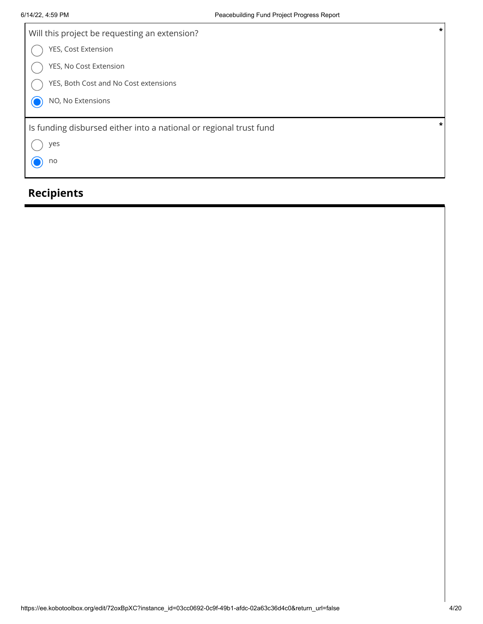| Will this project be requesting an extension?                      | $\star$ |
|--------------------------------------------------------------------|---------|
| YES, Cost Extension                                                |         |
| YES, No Cost Extension                                             |         |
| YES, Both Cost and No Cost extensions                              |         |
| NO, No Extensions                                                  |         |
|                                                                    | *       |
| Is funding disbursed either into a national or regional trust fund |         |
| yes                                                                |         |
| no                                                                 |         |
|                                                                    |         |

# **Recipients**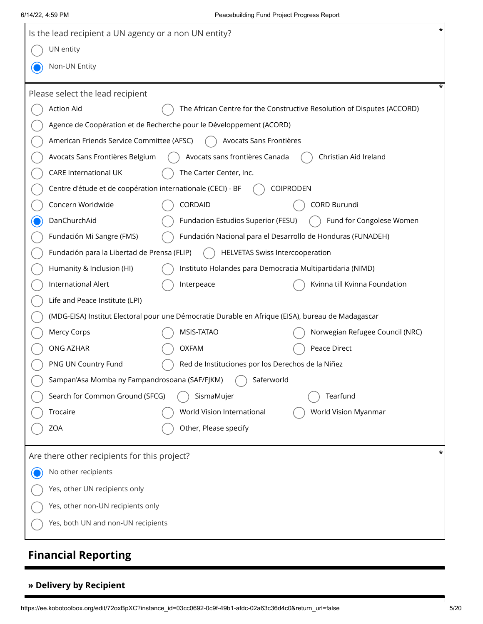| $\star$<br>Is the lead recipient a UN agency or a non UN entity? |                                                                                                   |                                                                         |  |  |  |
|------------------------------------------------------------------|---------------------------------------------------------------------------------------------------|-------------------------------------------------------------------------|--|--|--|
| UN entity                                                        |                                                                                                   |                                                                         |  |  |  |
| Non-UN Entity                                                    |                                                                                                   |                                                                         |  |  |  |
| Please select the lead recipient                                 |                                                                                                   |                                                                         |  |  |  |
| <b>Action Aid</b>                                                |                                                                                                   | The African Centre for the Constructive Resolution of Disputes (ACCORD) |  |  |  |
|                                                                  | Agence de Coopération et de Recherche pour le Développement (ACORD)                               |                                                                         |  |  |  |
| American Friends Service Committee (AFSC)                        | Avocats Sans Frontières                                                                           |                                                                         |  |  |  |
| Avocats Sans Frontières Belgium                                  | Avocats sans frontières Canada                                                                    | Christian Aid Ireland                                                   |  |  |  |
| <b>CARE International UK</b>                                     | The Carter Center, Inc.                                                                           |                                                                         |  |  |  |
| Centre d'étude et de coopération internationale (CECI) - BF      |                                                                                                   | <b>COIPRODEN</b>                                                        |  |  |  |
| Concern Worldwide                                                | CORDAID                                                                                           | CORD Burundi                                                            |  |  |  |
| DanChurchAid                                                     | Fundacion Estudios Superior (FESU)                                                                | Fund for Congolese Women                                                |  |  |  |
| Fundación Mi Sangre (FMS)                                        | Fundación Nacional para el Desarrollo de Honduras (FUNADEH)                                       |                                                                         |  |  |  |
| Fundación para la Libertad de Prensa (FLIP)                      | <b>HELVETAS Swiss Intercooperation</b>                                                            |                                                                         |  |  |  |
| Humanity & Inclusion (HI)                                        | Instituto Holandes para Democracia Multipartidaria (NIMD)                                         |                                                                         |  |  |  |
| International Alert                                              | Interpeace                                                                                        | Kvinna till Kvinna Foundation                                           |  |  |  |
| Life and Peace Institute (LPI)                                   |                                                                                                   |                                                                         |  |  |  |
|                                                                  | (MDG-EISA) Institut Electoral pour une Démocratie Durable en Afrique (EISA), bureau de Madagascar |                                                                         |  |  |  |
| Mercy Corps                                                      | MSIS-TATAO                                                                                        | Norwegian Refugee Council (NRC)                                         |  |  |  |
| ONG AZHAR                                                        | <b>OXFAM</b>                                                                                      | Peace Direct                                                            |  |  |  |
| PNG UN Country Fund                                              | Red de Instituciones por los Derechos de la Niñez                                                 |                                                                         |  |  |  |
| Sampan'Asa Momba ny Fampandrosoana (SAF/FJKM)                    | Saferworld                                                                                        |                                                                         |  |  |  |
| Search for Common Ground (SFCG)                                  | SismaMujer                                                                                        | Tearfund                                                                |  |  |  |
| Trocaire                                                         | World Vision International                                                                        | World Vision Myanmar                                                    |  |  |  |
| ZOA                                                              | Other, Please specify                                                                             |                                                                         |  |  |  |
| Are there other recipients for this project?                     |                                                                                                   |                                                                         |  |  |  |
| No other recipients                                              |                                                                                                   |                                                                         |  |  |  |
| Yes, other UN recipients only                                    |                                                                                                   |                                                                         |  |  |  |
| Yes, other non-UN recipients only                                |                                                                                                   |                                                                         |  |  |  |
| Yes, both UN and non-UN recipients                               |                                                                                                   |                                                                         |  |  |  |

# **Financial Reporting**

#### **» Delivery by Recipient**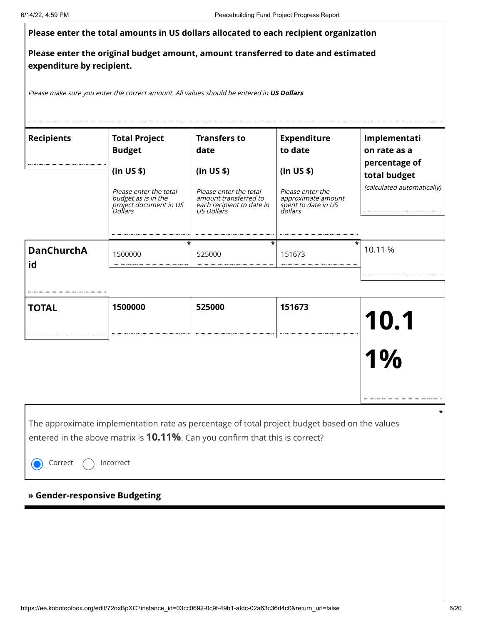| 6/14/22, 4:59 PM          |                                                                                                                                                                                       |                                                                                                                 | Peacebuilding Fund Project Progress Report                                             |                                               |
|---------------------------|---------------------------------------------------------------------------------------------------------------------------------------------------------------------------------------|-----------------------------------------------------------------------------------------------------------------|----------------------------------------------------------------------------------------|-----------------------------------------------|
|                           | Please enter the total amounts in US dollars allocated to each recipient organization                                                                                                 |                                                                                                                 |                                                                                        |                                               |
| expenditure by recipient. | Please enter the original budget amount, amount transferred to date and estimated                                                                                                     |                                                                                                                 |                                                                                        |                                               |
|                           | Please make sure you enter the correct amount. All values should be entered in US Dollars                                                                                             |                                                                                                                 |                                                                                        |                                               |
| <b>Recipients</b>         | <b>Total Project</b><br><b>Budget</b>                                                                                                                                                 | <b>Transfers to</b><br>date                                                                                     | <b>Expenditure</b><br>to date                                                          | Implementati<br>on rate as a<br>percentage of |
|                           | (in US \$)<br>Please enter the total<br>budget as is in the<br>project document in US<br>Dollars                                                                                      | (in US \$)<br>Please enter the total<br>amount transferred to<br>each recipient to date in<br><b>US Dollars</b> | (in US \$)<br>Please enter the<br>approximate amount<br>spent to date in US<br>dollars | total budget<br>(calculated automatically)    |
| <b>DanChurchA</b><br>id   | *<br>1500000                                                                                                                                                                          | *<br>525000                                                                                                     | 151673                                                                                 | *<br>10.11 %                                  |
| <b>TOTAL</b>              | 1500000                                                                                                                                                                               | 525000                                                                                                          | 151673                                                                                 | 10.1                                          |
|                           |                                                                                                                                                                                       |                                                                                                                 |                                                                                        | I 70                                          |
|                           |                                                                                                                                                                                       |                                                                                                                 |                                                                                        |                                               |
|                           | The approximate implementation rate as percentage of total project budget based on the values<br>entered in the above matrix is <b>10.11%</b> . Can you confirm that this is correct? |                                                                                                                 |                                                                                        |                                               |
| Correct                   | Incorrect                                                                                                                                                                             |                                                                                                                 |                                                                                        |                                               |

## **» Gender-responsive Budgeting**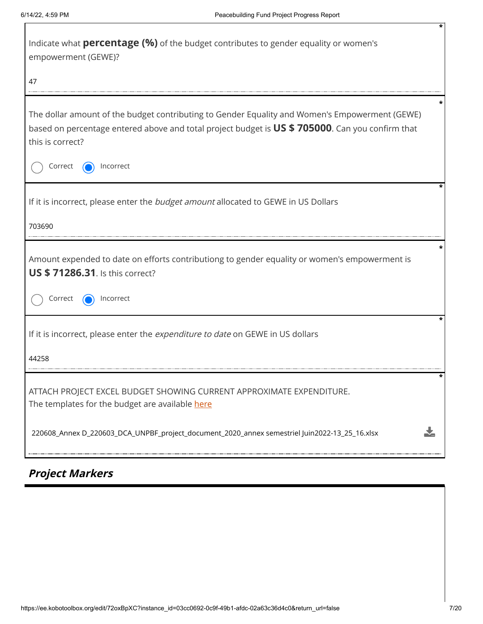| Indicate what <b>percentage (%)</b> of the budget contributes to gender equality or women's<br>empowerment (GEWE)?                                                                                                                            |  |  |  |
|-----------------------------------------------------------------------------------------------------------------------------------------------------------------------------------------------------------------------------------------------|--|--|--|
| 47                                                                                                                                                                                                                                            |  |  |  |
| The dollar amount of the budget contributing to Gender Equality and Women's Empowerment (GEWE)<br>based on percentage entered above and total project budget is US \$705000. Can you confirm that<br>this is correct?<br>Correct<br>Incorrect |  |  |  |
| If it is incorrect, please enter the budget amount allocated to GEWE in US Dollars<br>703690                                                                                                                                                  |  |  |  |
| Amount expended to date on efforts contributiong to gender equality or women's empowerment is<br><b>US \$71286.31.</b> Is this correct?<br>Correct<br>Incorrect                                                                               |  |  |  |
| If it is incorrect, please enter the expenditure to date on GEWE in US dollars<br>44258                                                                                                                                                       |  |  |  |
| ATTACH PROJECT EXCEL BUDGET SHOWING CURRENT APPROXIMATE EXPENDITURE.<br>The templates for the budget are available here<br>220608_Annex D_220603_DCA_UNPBF_project_document_2020_annex semestriel Juin2022-13_25_16.xlsx                      |  |  |  |
|                                                                                                                                                                                                                                               |  |  |  |

# **Project Markers**

L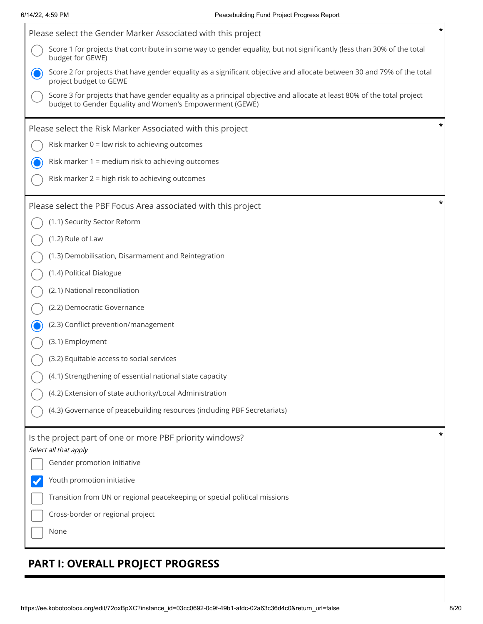| Please select the Gender Marker Associated with this project                                                                                                                       | * |  |  |  |
|------------------------------------------------------------------------------------------------------------------------------------------------------------------------------------|---|--|--|--|
| Score 1 for projects that contribute in some way to gender equality, but not significantly (less than 30% of the total<br>budget for GEWE)                                         |   |  |  |  |
| Score 2 for projects that have gender equality as a significant objective and allocate between 30 and 79% of the total<br>project budget to GEWE                                   |   |  |  |  |
| Score 3 for projects that have gender equality as a principal objective and allocate at least 80% of the total project<br>budget to Gender Equality and Women's Empowerment (GEWE) |   |  |  |  |
| Please select the Risk Marker Associated with this project                                                                                                                         | * |  |  |  |
| Risk marker 0 = low risk to achieving outcomes                                                                                                                                     |   |  |  |  |
| Risk marker 1 = medium risk to achieving outcomes                                                                                                                                  |   |  |  |  |
| Risk marker 2 = high risk to achieving outcomes                                                                                                                                    |   |  |  |  |
| Please select the PBF Focus Area associated with this project                                                                                                                      | * |  |  |  |
| (1.1) Security Sector Reform                                                                                                                                                       |   |  |  |  |
| (1.2) Rule of Law                                                                                                                                                                  |   |  |  |  |
| (1.3) Demobilisation, Disarmament and Reintegration                                                                                                                                |   |  |  |  |
| (1.4) Political Dialogue                                                                                                                                                           |   |  |  |  |
| (2.1) National reconciliation                                                                                                                                                      |   |  |  |  |
| (2.2) Democratic Governance                                                                                                                                                        |   |  |  |  |
| (2.3) Conflict prevention/management                                                                                                                                               |   |  |  |  |
| (3.1) Employment                                                                                                                                                                   |   |  |  |  |
| (3.2) Equitable access to social services                                                                                                                                          |   |  |  |  |
| (4.1) Strengthening of essential national state capacity                                                                                                                           |   |  |  |  |
| (4.2) Extension of state authority/Local Administration                                                                                                                            |   |  |  |  |
| (4.3) Governance of peacebuilding resources (including PBF Secretariats)                                                                                                           |   |  |  |  |
| Is the project part of one or more PBF priority windows?                                                                                                                           | * |  |  |  |
| Select all that apply<br>Gender promotion initiative                                                                                                                               |   |  |  |  |
| Youth promotion initiative                                                                                                                                                         |   |  |  |  |
| Transition from UN or regional peacekeeping or special political missions                                                                                                          |   |  |  |  |
| Cross-border or regional project                                                                                                                                                   |   |  |  |  |
| None                                                                                                                                                                               |   |  |  |  |
|                                                                                                                                                                                    |   |  |  |  |

## **PART I: OVERALL PROJECT PROGRESS**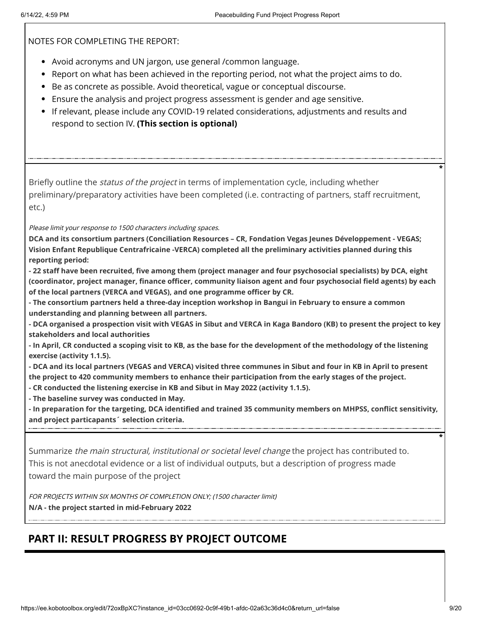NOTES FOR COMPLETING THE REPORT:

- Avoid acronyms and UN jargon, use general /common language.
- Report on what has been achieved in the reporting period, not what the project aims to do.
- Be as concrete as possible. Avoid theoretical, vague or conceptual discourse.
- Ensure the analysis and project progress assessment is gender and age sensitive.
- If relevant, please include any COVID-19 related considerations, adjustments and results and respond to section IV. **(This section is optional)**

Briefly outline the *status of the project* in terms of implementation cycle, including whether preliminary/preparatory activities have been completed (i.e. contracting of partners, staff recruitment, etc.)

Please limit your response to 1500 characters including spaces.

**DCA and its consortium partners (Conciliation Resources – CR, Fondation Vegas Jeunes Développement - VEGAS; Vision Enfant Republique Centrafricaine -VERCA) completed all the preliminary activities planned during this reporting period:**

**- 22 staff have been recruited, five among them (project manager and four psychosocial specialists) by DCA, eight (coordinator, project manager, finance officer, community liaison agent and four psychosocial field agents) by each of the local partners (VERCA and VEGAS), and one programme officer by CR.** 

**- The consortium partners held a three-day inception workshop in Bangui in February to ensure a common understanding and planning between all partners.** 

**- DCA organised a prospection visit with VEGAS in Sibut and VERCA in Kaga Bandoro (KB) to present the project to key stakeholders and local authorities**

**- In April, CR conducted a scoping visit to KB, as the base for the development of the methodology of the listening exercise (activity 1.1.5).**

**- DCA and its local partners (VEGAS and VERCA) visited three communes in Sibut and four in KB in April to present the project to 420 community members to enhance their participation from the early stages of the project.**

**- CR conducted the listening exercise in KB and Sibut in May 2022 (activity 1.1.5).**

**- The baseline survey was conducted in May.** 

**- In preparation for the targeting, DCA identified and trained 35 community members on MHPSS, conflict sensitivity, and project particapants´ selection criteria.**

Summarize *the main structural, institutional or societal level change* the project has contributed to. This is not anecdotal evidence or a list of individual outputs, but a description of progress made toward the main purpose of the project

FOR PROJECTS WITHIN SIX MONTHS OF COMPLETION ONLY; (1500 character limit) **N/A - the project started in mid-February 2022**

## **PART II: RESULT PROGRESS BY PROJECT OUTCOME**

**\***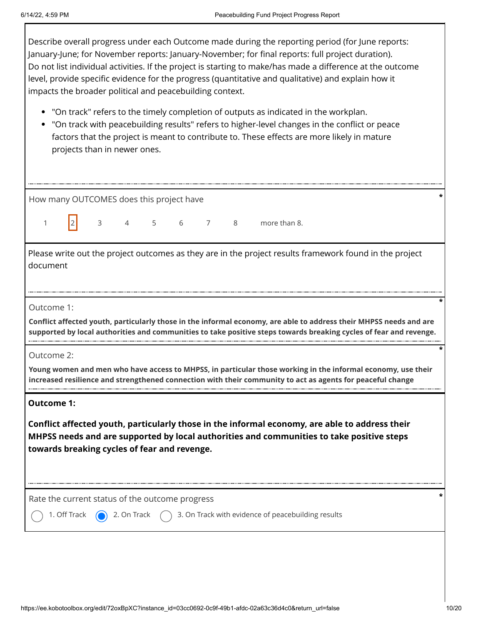Describe overall progress under each Outcome made during the reporting period (for June reports: January-June; for November reports: January-November; for final reports: full project duration). Do not list individual activities. If the project is starting to make/has made a difference at the outcome level, provide specific evidence for the progress (quantitative and qualitative) and explain how it impacts the broader political and peacebuilding context.

- "On track" refers to the timely completion of outputs as indicated in the workplan.
- "On track with peacebuilding results" refers to higher-level changes in the conflict or peace factors that the project is meant to contribute to. These effects are more likely in mature projects than in newer ones.

| How many OUTCOMES does this project have<br> 2 <br>$3 \t 4 \t 5$<br>6 7 8<br>more than 8.<br>$\mathbf{1}$<br>Please write out the project outcomes as they are in the project results framework found in the project<br>document<br>Outcome 1:<br>Conflict affected youth, particularly those in the informal economy, are able to address their MHPSS needs and are<br>supported by local authorities and communities to take positive steps towards breaking cycles of fear and revenge.<br>Outcome 2:<br>Young women and men who have access to MHPSS, in particular those working in the informal economy, use their<br>increased resilience and strengthened connection with their community to act as agents for peaceful change<br><b>Outcome 1:</b><br>Conflict affected youth, particularly those in the informal economy, are able to address their<br>MHPSS needs and are supported by local authorities and communities to take positive steps<br>towards breaking cycles of fear and revenge.<br>Rate the current status of the outcome progress<br>3. On Track with evidence of peacebuilding results<br>1. Off Track<br>2. On Track |  |  |  |  |  |  |  |
|----------------------------------------------------------------------------------------------------------------------------------------------------------------------------------------------------------------------------------------------------------------------------------------------------------------------------------------------------------------------------------------------------------------------------------------------------------------------------------------------------------------------------------------------------------------------------------------------------------------------------------------------------------------------------------------------------------------------------------------------------------------------------------------------------------------------------------------------------------------------------------------------------------------------------------------------------------------------------------------------------------------------------------------------------------------------------------------------------------------------------------------------------|--|--|--|--|--|--|--|
|                                                                                                                                                                                                                                                                                                                                                                                                                                                                                                                                                                                                                                                                                                                                                                                                                                                                                                                                                                                                                                                                                                                                                    |  |  |  |  |  |  |  |
|                                                                                                                                                                                                                                                                                                                                                                                                                                                                                                                                                                                                                                                                                                                                                                                                                                                                                                                                                                                                                                                                                                                                                    |  |  |  |  |  |  |  |
|                                                                                                                                                                                                                                                                                                                                                                                                                                                                                                                                                                                                                                                                                                                                                                                                                                                                                                                                                                                                                                                                                                                                                    |  |  |  |  |  |  |  |
|                                                                                                                                                                                                                                                                                                                                                                                                                                                                                                                                                                                                                                                                                                                                                                                                                                                                                                                                                                                                                                                                                                                                                    |  |  |  |  |  |  |  |
|                                                                                                                                                                                                                                                                                                                                                                                                                                                                                                                                                                                                                                                                                                                                                                                                                                                                                                                                                                                                                                                                                                                                                    |  |  |  |  |  |  |  |
|                                                                                                                                                                                                                                                                                                                                                                                                                                                                                                                                                                                                                                                                                                                                                                                                                                                                                                                                                                                                                                                                                                                                                    |  |  |  |  |  |  |  |
|                                                                                                                                                                                                                                                                                                                                                                                                                                                                                                                                                                                                                                                                                                                                                                                                                                                                                                                                                                                                                                                                                                                                                    |  |  |  |  |  |  |  |
|                                                                                                                                                                                                                                                                                                                                                                                                                                                                                                                                                                                                                                                                                                                                                                                                                                                                                                                                                                                                                                                                                                                                                    |  |  |  |  |  |  |  |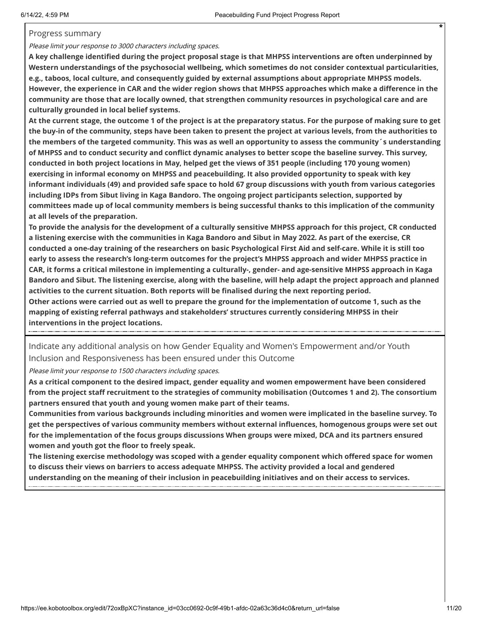#### Progress summary

Please limit your response to 3000 characters including spaces.

**A key challenge identified during the project proposal stage is that MHPSS interventions are often underpinned by Western understandings of the psychosocial wellbeing, which sometimes do not consider contextual particularities, e.g., taboos, local culture, and consequently guided by external assumptions about appropriate MHPSS models. However, the experience in CAR and the wider region shows that MHPSS approaches which make a difference in the community are those that are locally owned, that strengthen community resources in psychological care and are culturally grounded in local belief systems.** 

**At the current stage, the outcome 1 of the project is at the preparatory status. For the purpose of making sure to get the buy-in of the community, steps have been taken to present the project at various levels, from the authorities to the members of the targeted community. This was as well an opportunity to assess the community´s understanding of MHPSS and to conduct security and conflict dynamic analyses to better scope the baseline survey. This survey, conducted in both project locations in May, helped get the views of 351 people (including 170 young women) exercising in informal economy on MHPSS and peacebuilding. It also provided opportunity to speak with key informant individuals (49) and provided safe space to hold 67 group discussions with youth from various categories including IDPs from Sibut living in Kaga Bandoro. The ongoing project participants selection, supported by committees made up of local community members is being successful thanks to this implication of the community at all levels of the preparation.**

**To provide the analysis for the development of a culturally sensitive MHPSS approach for this project, CR conducted a listening exercise with the communities in Kaga Bandoro and Sibut in May 2022. As part of the exercise, CR conducted a one-day training of the researchers on basic Psychological First Aid and self-care. While it is still too early to assess the research's long-term outcomes for the project's MHPSS approach and wider MHPSS practice in CAR, it forms a critical milestone in implementing a culturally-, gender- and age-sensitive MHPSS approach in Kaga Bandoro and Sibut. The listening exercise, along with the baseline, will help adapt the project approach and planned activities to the current situation. Both reports will be finalised during the next reporting period. Other actions were carried out as well to prepare the ground for the implementation of outcome 1, such as the mapping of existing referral pathways and stakeholders' structures currently considering MHPSS in their interventions in the project locations.**

Indicate any additional analysis on how Gender Equality and Women's Empowerment and/or Youth Inclusion and Responsiveness has been ensured under this Outcome

Please limit your response to 1500 characters including spaces.

**As a critical component to the desired impact, gender equality and women empowerment have been considered from the project staff recruitment to the strategies of community mobilisation (Outcomes 1 and 2). The consortium partners ensured that youth and young women make part of their teams.** 

**Communities from various backgrounds including minorities and women were implicated in the baseline survey. To get the perspectives of various community members without external influences, homogenous groups were set out for the implementation of the focus groups discussions When groups were mixed, DCA and its partners ensured women and youth got the floor to freely speak.** 

**The listening exercise methodology was scoped with a gender equality component which offered space for women to discuss their views on barriers to access adequate MHPSS. The activity provided a local and gendered understanding on the meaning of their inclusion in peacebuilding initiatives and on their access to services.**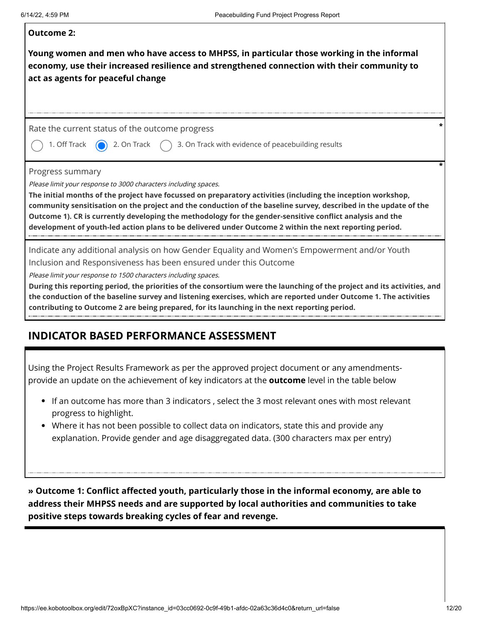| <b>Outcome 2:</b><br>Young women and men who have access to MHPSS, in particular those working in the informal<br>economy, use their increased resilience and strengthened connection with their community to<br>act as agents for peaceful change                                                                                                                                                                                                                                                                                                                                    |
|---------------------------------------------------------------------------------------------------------------------------------------------------------------------------------------------------------------------------------------------------------------------------------------------------------------------------------------------------------------------------------------------------------------------------------------------------------------------------------------------------------------------------------------------------------------------------------------|
| Rate the current status of the outcome progress<br>1. Off Track<br>2. On Track<br>3. On Track with evidence of peacebuilding results                                                                                                                                                                                                                                                                                                                                                                                                                                                  |
| Progress summary<br>Please limit your response to 3000 characters including spaces.<br>The initial months of the project have focussed on preparatory activities (including the inception workshop,<br>community sensitisation on the project and the conduction of the baseline survey, described in the update of the<br>Outcome 1). CR is currently developing the methodology for the gender-sensitive conflict analysis and the<br>development of youth-led action plans to be delivered under Outcome 2 within the next reporting period.                                       |
| Indicate any additional analysis on how Gender Equality and Women's Empowerment and/or Youth<br>Inclusion and Responsiveness has been ensured under this Outcome<br>Please limit your response to 1500 characters including spaces.<br>During this reporting period, the priorities of the consortium were the launching of the project and its activities, and<br>the conduction of the baseline survey and listening exercises, which are reported under Outcome 1. The activities<br>contributing to Outcome 2 are being prepared, for its launching in the next reporting period. |

### **INDICATOR BASED PERFORMANCE ASSESSMENT**

Using the Project Results Framework as per the approved project document or any amendmentsprovide an update on the achievement of key indicators at the **outcome** level in the table below

- If an outcome has more than 3 indicators , select the 3 most relevant ones with most relevant progress to highlight.
- Where it has not been possible to collect data on indicators, state this and provide any explanation. Provide gender and age disaggregated data. (300 characters max per entry)

**» Outcome 1: Conflict affected youth, particularly those in the informal economy, are able to address their MHPSS needs and are supported by local authorities and communities to take positive steps towards breaking cycles of fear and revenge.**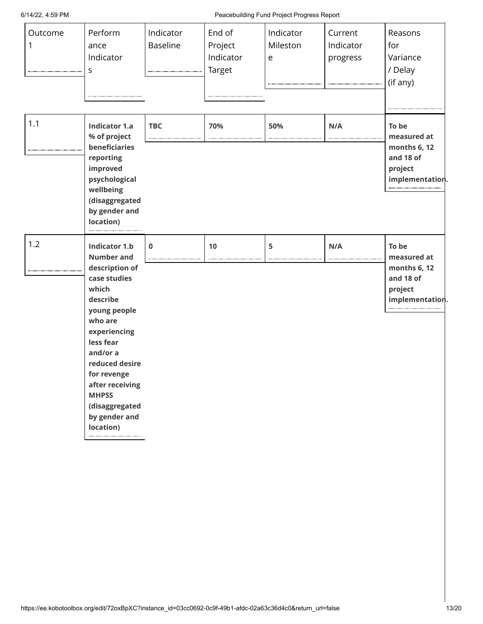#### 6/14/22, 4:59 PM Peacebuilding Fund Project Progress Report

| Outcome<br>1 | Perform<br>ance<br>Indicator<br>S                                                                                                                                                                                                                                                        | Indicator<br><b>Baseline</b> | End of<br>Project<br>Indicator<br>Target | Indicator<br>Mileston<br>e | Current<br>Indicator<br>progress | Reasons<br>for<br>Variance<br>/ Delay<br>(if any)                               |
|--------------|------------------------------------------------------------------------------------------------------------------------------------------------------------------------------------------------------------------------------------------------------------------------------------------|------------------------------|------------------------------------------|----------------------------|----------------------------------|---------------------------------------------------------------------------------|
| 1.1          | <b>Indicator 1.a</b><br>% of project<br>beneficiaries<br>reporting<br>improved<br>psychological<br>wellbeing<br>(disaggregated<br>by gender and<br>location)                                                                                                                             | <b>TBC</b>                   | 70%                                      | 50%                        | N/A                              | To be<br>measured at<br>months 6, 12<br>and 18 of<br>project<br>implementation. |
| 1.2          | <b>Indicator 1.b</b><br><b>Number and</b><br>description of<br>case studies<br>which<br>describe<br>young people<br>who are<br>experiencing<br>less fear<br>and/or a<br>reduced desire<br>for revenge<br>after receiving<br><b>MHPSS</b><br>(disaggregated<br>by gender and<br>location) | $\bf{0}$                     | 10                                       | 5                          | N/A                              | To be<br>measured at<br>months 6, 12<br>and 18 of<br>project<br>implementation. |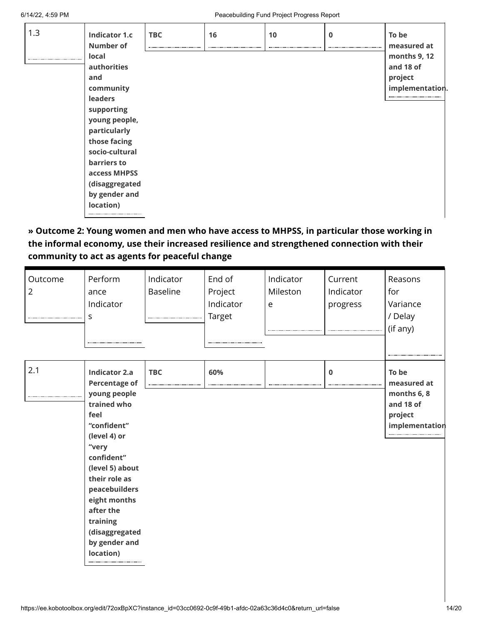| 1.3 | <b>Indicator 1.c</b><br><b>Number of</b><br>local<br>authorities<br>and<br>community<br><b>leaders</b><br>supporting<br>young people,<br>particularly<br>those facing<br>socio-cultural<br>barriers to<br>access MHPSS<br>(disaggregated | <b>TBC</b> | 16 | 10 | $\mathbf 0$ | To be<br>measured at<br>months 9, 12<br>and 18 of<br>project<br>implementation |
|-----|------------------------------------------------------------------------------------------------------------------------------------------------------------------------------------------------------------------------------------------|------------|----|----|-------------|--------------------------------------------------------------------------------|
|     | by gender and<br>location)                                                                                                                                                                                                               |            |    |    |             |                                                                                |

**» Outcome 2: Young women and men who have access to MHPSS, in particular those working in the informal economy, use their increased resilience and strengthened connection with their community to act as agents for peaceful change**

| Outcome<br>$\overline{2}$ | Perform<br>ance<br>Indicator<br>S                                                                                                                                                                                                                                                       | Indicator<br><b>Baseline</b> | End of<br>Project<br>Indicator<br><b>Target</b> | Indicator<br>Mileston<br>e | Current<br>Indicator<br>progress | Reasons<br>for<br>Variance<br>/ Delay<br>(if any)                             |
|---------------------------|-----------------------------------------------------------------------------------------------------------------------------------------------------------------------------------------------------------------------------------------------------------------------------------------|------------------------------|-------------------------------------------------|----------------------------|----------------------------------|-------------------------------------------------------------------------------|
| 2.1                       | <b>Indicator 2.a</b><br><b>Percentage of</b><br>young people<br>trained who<br>feel<br>"confident"<br>(level 4) or<br>"very<br>confident"<br>(level 5) about<br>their role as<br>peacebuilders<br>eight months<br>after the<br>training<br>(disaggregated<br>by gender and<br>location) | <b>TBC</b>                   | 60%                                             |                            | $\mathbf 0$                      | To be<br>measured at<br>months 6, 8<br>and 18 of<br>project<br>implementation |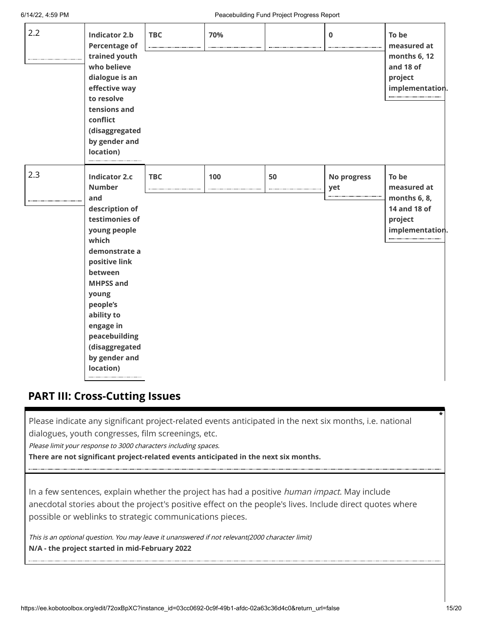| 2.2 | <b>Indicator 2.b</b><br><b>Percentage of</b><br>trained youth<br>who believe<br>dialogue is an<br>effective way<br>to resolve<br>tensions and<br>conflict<br>(disaggregated<br>by gender and<br>location)                                                                                   | <b>TBC</b> | 70% |    | $\bf{0}$           | To be<br>measured at<br>months 6, 12<br>and 18 of<br>project<br>implementation.    |
|-----|---------------------------------------------------------------------------------------------------------------------------------------------------------------------------------------------------------------------------------------------------------------------------------------------|------------|-----|----|--------------------|------------------------------------------------------------------------------------|
| 2.3 | <b>Indicator 2.c</b><br><b>Number</b><br>and<br>description of<br>testimonies of<br>young people<br>which<br>demonstrate a<br>positive link<br>between<br><b>MHPSS and</b><br>young<br>people's<br>ability to<br>engage in<br>peacebuilding<br>(disaggregated<br>by gender and<br>location) | <b>TBC</b> | 100 | 50 | No progress<br>yet | To be<br>measured at<br>months 6, 8,<br>14 and 18 of<br>project<br>implementation. |

### **PART III: Cross-Cutting Issues**

Please indicate any significant project-related events anticipated in the next six months, i.e. national dialogues, youth congresses, film screenings, etc.

Please limit your response to 3000 characters including spaces.

**There are not significant project-related events anticipated in the next six months.**

In a few sentences, explain whether the project has had a positive human impact. May include anecdotal stories about the project's positive effect on the people's lives. Include direct quotes where possible or weblinks to strategic communications pieces.

This is an optional question. You may leave it unanswered if not relevant(2000 character limit) **N/A - the project started in mid-February 2022**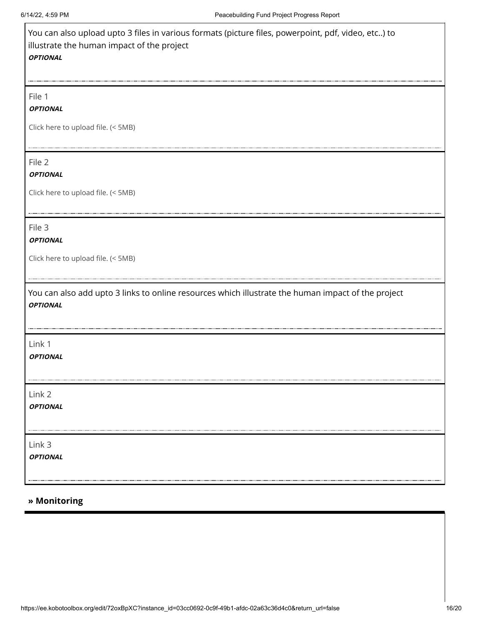| You can also upload upto 3 files in various formats (picture files, powerpoint, pdf, video, etc) to<br>illustrate the human impact of the project<br><b>OPTIONAL</b> |
|----------------------------------------------------------------------------------------------------------------------------------------------------------------------|
| File 1                                                                                                                                                               |
| <b>OPTIONAL</b>                                                                                                                                                      |
| Click here to upload file. (< 5MB)                                                                                                                                   |
| File 2<br><b>OPTIONAL</b>                                                                                                                                            |
| Click here to upload file. (< 5MB)                                                                                                                                   |
| File 3<br><b>OPTIONAL</b>                                                                                                                                            |
| Click here to upload file. (< 5MB)                                                                                                                                   |
| You can also add upto 3 links to online resources which illustrate the human impact of the project<br><b>OPTIONAL</b>                                                |
| Link 1<br><b>OPTIONAL</b>                                                                                                                                            |
| Link 2<br><b>OPTIONAL</b>                                                                                                                                            |
| Link 3<br><b>OPTIONAL</b>                                                                                                                                            |

#### **» Monitoring**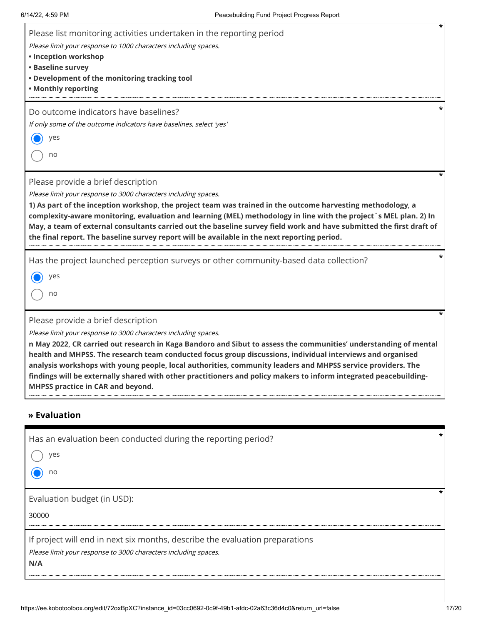| *<br>Please list monitoring activities undertaken in the reporting period<br>Please limit your response to 1000 characters including spaces.<br>• Inception workshop<br>• Baseline survey<br>. Development of the monitoring tracking tool<br>• Monthly reporting                                                                                                                                                                                                                                                                                                          |
|----------------------------------------------------------------------------------------------------------------------------------------------------------------------------------------------------------------------------------------------------------------------------------------------------------------------------------------------------------------------------------------------------------------------------------------------------------------------------------------------------------------------------------------------------------------------------|
| Do outcome indicators have baselines?                                                                                                                                                                                                                                                                                                                                                                                                                                                                                                                                      |
| If only some of the outcome indicators have baselines, select 'yes'<br>yes                                                                                                                                                                                                                                                                                                                                                                                                                                                                                                 |
| no                                                                                                                                                                                                                                                                                                                                                                                                                                                                                                                                                                         |
| Please provide a brief description<br>Please limit your response to 3000 characters including spaces.<br>1) As part of the inception workshop, the project team was trained in the outcome harvesting methodology, a<br>complexity-aware monitoring, evaluation and learning (MEL) methodology in line with the project's MEL plan. 2) In<br>May, a team of external consultants carried out the baseline survey field work and have submitted the first draft of<br>the final report. The baseline survey report will be available in the next reporting period.          |
| *<br>Has the project launched perception surveys or other community-based data collection?                                                                                                                                                                                                                                                                                                                                                                                                                                                                                 |
| yes                                                                                                                                                                                                                                                                                                                                                                                                                                                                                                                                                                        |
| no                                                                                                                                                                                                                                                                                                                                                                                                                                                                                                                                                                         |
| Please provide a brief description                                                                                                                                                                                                                                                                                                                                                                                                                                                                                                                                         |
| Please limit your response to 3000 characters including spaces.<br>n May 2022, CR carried out research in Kaga Bandoro and Sibut to assess the communities' understanding of mental<br>health and MHPSS. The research team conducted focus group discussions, individual interviews and organised<br>analysis workshops with young people, local authorities, community leaders and MHPSS service providers. The<br>findings will be externally shared with other practitioners and policy makers to inform integrated peacebuilding-<br>MHPSS practice in CAR and beyond. |
| » Evaluation                                                                                                                                                                                                                                                                                                                                                                                                                                                                                                                                                               |
| Has an evaluation been conducted during the reporting period?                                                                                                                                                                                                                                                                                                                                                                                                                                                                                                              |
| yes                                                                                                                                                                                                                                                                                                                                                                                                                                                                                                                                                                        |
| no                                                                                                                                                                                                                                                                                                                                                                                                                                                                                                                                                                         |
| *<br>Evaluation budget (in USD):                                                                                                                                                                                                                                                                                                                                                                                                                                                                                                                                           |
| 30000                                                                                                                                                                                                                                                                                                                                                                                                                                                                                                                                                                      |
|                                                                                                                                                                                                                                                                                                                                                                                                                                                                                                                                                                            |

If project will end in next six months, describe the evaluation preparations

Please limit your response to 3000 characters including spaces.

**N/A**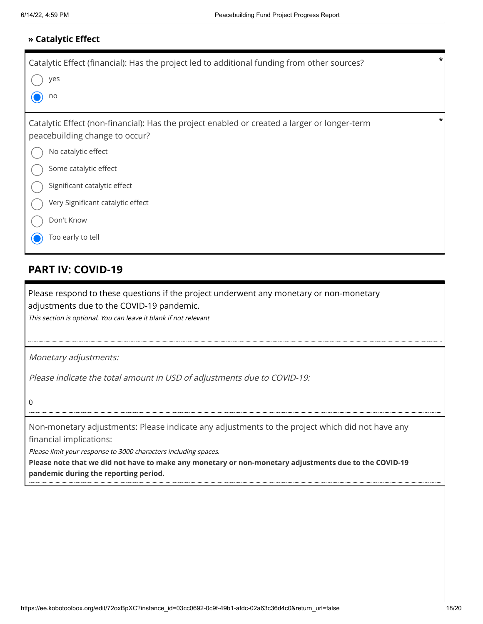#### **» Catalytic Effect**

| Catalytic Effect (financial): Has the project led to additional funding from other sources?<br>yes<br>no                                                                                                                                                                               | * |
|----------------------------------------------------------------------------------------------------------------------------------------------------------------------------------------------------------------------------------------------------------------------------------------|---|
| Catalytic Effect (non-financial): Has the project enabled or created a larger or longer-term<br>peacebuilding change to occur?<br>No catalytic effect<br>Some catalytic effect<br>Significant catalytic effect<br>Very Significant catalytic effect<br>Don't Know<br>Too early to tell | * |

## **PART IV: COVID-19**

Please respond to these questions if the project underwent any monetary or non-monetary adjustments due to the COVID-19 pandemic.

This section is optional. You can leave it blank if not relevant

Monetary adjustments:

Please indicate the total amount in USD of adjustments due to COVID-19:

0

Non-monetary adjustments: Please indicate any adjustments to the project which did not have any financial implications:

Please limit your response to 3000 characters including spaces.

**Please note that we did not have to make any monetary or non-monetary adjustments due to the COVID-19 pandemic during the reporting period.**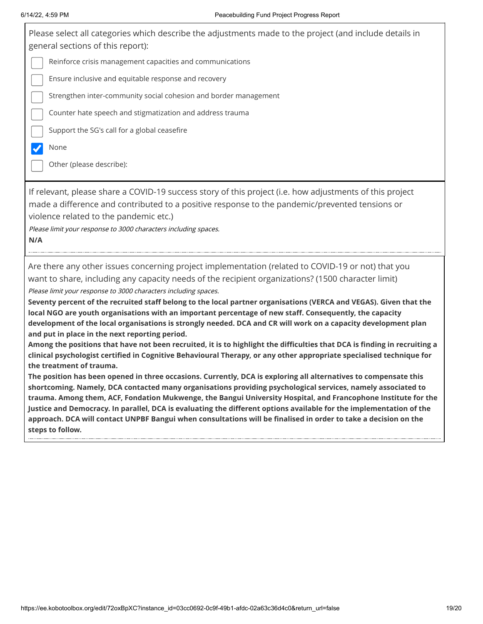| 6/14/22, 4:59 PM                                                                                                  | Peacebuilding Fund Project Progress Report                                                                                                                                                                                                                                                                                                                                                                                                                                                                                                                  |
|-------------------------------------------------------------------------------------------------------------------|-------------------------------------------------------------------------------------------------------------------------------------------------------------------------------------------------------------------------------------------------------------------------------------------------------------------------------------------------------------------------------------------------------------------------------------------------------------------------------------------------------------------------------------------------------------|
| general sections of this report):                                                                                 | Please select all categories which describe the adjustments made to the project (and include details in                                                                                                                                                                                                                                                                                                                                                                                                                                                     |
|                                                                                                                   | Reinforce crisis management capacities and communications                                                                                                                                                                                                                                                                                                                                                                                                                                                                                                   |
| Ensure inclusive and equitable response and recovery                                                              |                                                                                                                                                                                                                                                                                                                                                                                                                                                                                                                                                             |
|                                                                                                                   | Strengthen inter-community social cohesion and border management                                                                                                                                                                                                                                                                                                                                                                                                                                                                                            |
|                                                                                                                   | Counter hate speech and stigmatization and address trauma                                                                                                                                                                                                                                                                                                                                                                                                                                                                                                   |
| Support the SG's call for a global ceasefire                                                                      |                                                                                                                                                                                                                                                                                                                                                                                                                                                                                                                                                             |
| None                                                                                                              |                                                                                                                                                                                                                                                                                                                                                                                                                                                                                                                                                             |
| Other (please describe):                                                                                          |                                                                                                                                                                                                                                                                                                                                                                                                                                                                                                                                                             |
| violence related to the pandemic etc.)<br>Please limit your response to 3000 characters including spaces.<br>N/A  | If relevant, please share a COVID-19 success story of this project (i.e. how adjustments of this project<br>made a difference and contributed to a positive response to the pandemic/prevented tensions or                                                                                                                                                                                                                                                                                                                                                  |
| Please limit your response to 3000 characters including spaces.<br>and put in place in the next reporting period. | Are there any other issues concerning project implementation (related to COVID-19 or not) that you<br>want to share, including any capacity needs of the recipient organizations? (1500 character limit)<br>Seventy percent of the recruited staff belong to the local partner organisations (VERCA and VEGAS). Given that the<br>local NGO are youth organisations with an important percentage of new staff. Consequently, the capacity<br>development of the local organisations is strongly needed. DCA and CR will work on a capacity development plan |

**Among the positions that have not been recruited, it is to highlight the difficulties that DCA is finding in recruiting a clinical psychologist certified in Cognitive Behavioural Therapy, or any other appropriate specialised technique for the treatment of trauma.** 

**The position has been opened in three occasions. Currently, DCA is exploring all alternatives to compensate this shortcoming. Namely, DCA contacted many organisations providing psychological services, namely associated to trauma. Among them, ACF, Fondation Mukwenge, the Bangui University Hospital, and Francophone Institute for the Justice and Democracy. In parallel, DCA is evaluating the different options available for the implementation of the approach. DCA will contact UNPBF Bangui when consultations will be finalised in order to take a decision on the steps to follow.**